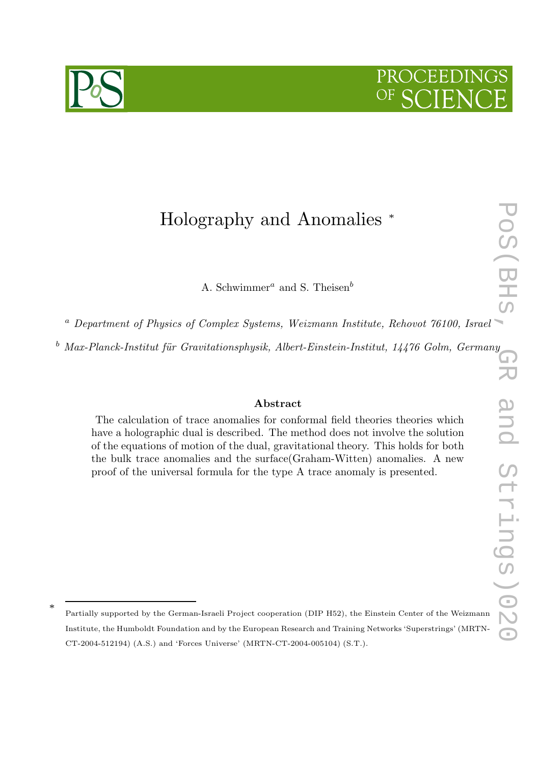# Holography and Anomalies <sup>∗</sup>

A. Schwimmer<sup>a</sup> and S. Theisen<sup>b</sup>

<sup>a</sup> Department of Physics of Complex Systems, Weizmann Institute, Rehovot 76100, Israel

 $b$  Max-Planck-Institut für Gravitationsphysik, Albert-Einstein-Institut, 14476 Golm, Germany

## Abstract

The calculation of trace anomalies for conformal field theories theories which have a holographic dual is described. The method does not involve the solution of the equations of motion of the dual, gravitational theory. This holds for both the bulk trace anomalies and the surface(Graham-Witten) anomalies. A new proof of the universal formula for the type A trace anomaly is presented.



∗

# PROCEEDIN

Partially supported by the German-Israeli Project cooperation (DIP H52), the Einstein Center of the Weizmann Institute, the Humboldt Foundation and by the European Research and Training Networks 'Superstrings' (MRTN-CT-2004-512194) (A.S.) and 'Forces Universe' (MRTN-CT-2004-005104) (S.T.).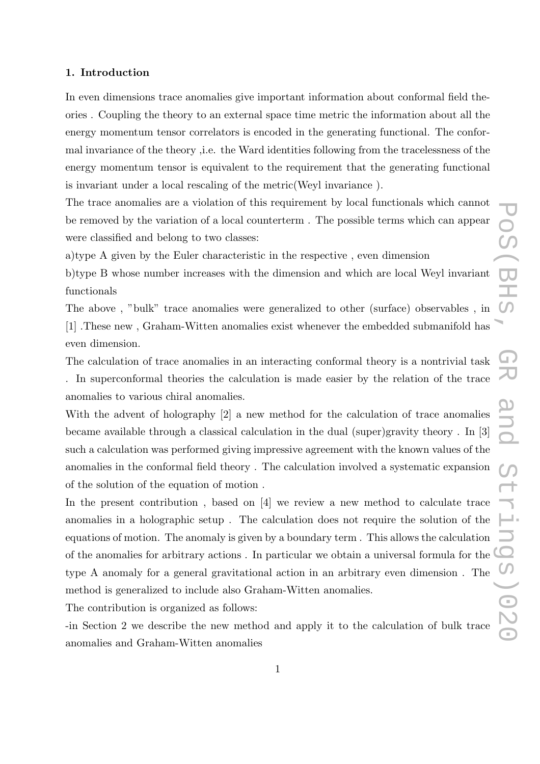#### 1. Introduction

In even dimensions trace anomalies give important information about conformal field theories . Coupling the theory to an external space time metric the information about all the energy momentum tensor correlators is encoded in the generating functional. The conformal invariance of the theory ,i.e. the Ward identities following from the tracelessness of the energy momentum tensor is equivalent to the requirement that the generating functional is invariant under a local rescaling of the metric(Weyl invariance ).

The trace anomalies are a violation of this requirement by local functionals which cannot be removed by the variation of a local counterterm . The possible terms which can appear were classified and belong to two classes:

a)type A given by the Euler characteristic in the respective , even dimension

b)type B whose number increases with the dimension and which are local Weyl invariant functionals

The above , "bulk" trace anomalies were generalized to other (surface) observables , in [1] .These new , Graham-Witten anomalies exist whenever the embedded submanifold has even dimension.

The calculation of trace anomalies in an interacting conformal theory is a nontrivial task . In superconformal theories the calculation is made easier by the relation of the trace anomalies to various chiral anomalies.

With the advent of holography [2] a new method for the calculation of trace anomalies became available through a classical calculation in the dual (super)gravity theory . In [3] such a calculation was performed giving impressive agreement with the known values of the anomalies in the conformal field theory . The calculation involved a systematic expansion of the solution of the equation of motion .

In the present contribution , based on [4] we review a new method to calculate trace anomalies in a holographic setup . The calculation does not require the solution of the equations of motion. The anomaly is given by a boundary term . This allows the calculation of the anomalies for arbitrary actions . In particular we obtain a universal formula for the type A anomaly for a general gravitational action in an arbitrary even dimension . The method is generalized to include also Graham-Witten anomalies.

The contribution is organized as follows:

-in Section 2 we describe the new method and apply it to the calculation of bulk trace anomalies and Graham-Witten anomalies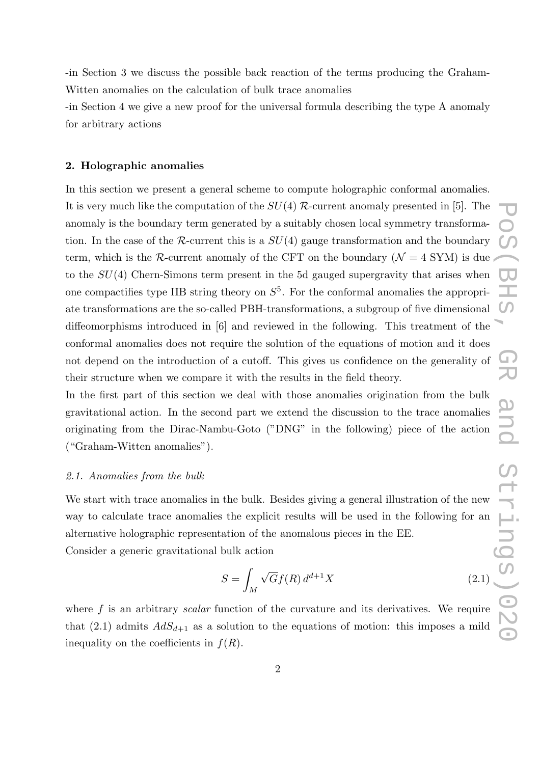-in Section 3 we discuss the possible back reaction of the terms producing the Graham-Witten anomalies on the calculation of bulk trace anomalies

-in Section 4 we give a new proof for the universal formula describing the type A anomaly for arbitrary actions

#### 2. Holographic anomalies

In this section we present a general scheme to compute holographic conformal anomalies. It is very much like the computation of the  $SU(4)$  R-current anomaly presented in [5]. The anomaly is the boundary term generated by a suitably chosen local symmetry transformation. In the case of the R-current this is a  $SU(4)$  gauge transformation and the boundary term, which is the R-current anomaly of the CFT on the boundary ( $\mathcal{N} = 4$  SYM) is due to the SU(4) Chern-Simons term present in the 5d gauged supergravity that arises when one compactifies type IIB string theory on  $S^5$ . For the conformal anomalies the appropriate transformations are the so-called PBH-transformations, a subgroup of five dimensional diffeomorphisms introduced in [6] and reviewed in the following. This treatment of the conformal anomalies does not require the solution of the equations of motion and it does not depend on the introduction of a cutoff. This gives us confidence on the generality of their structure when we compare it with the results in the field theory.

In the first part of this section we deal with those anomalies origination from the bulk gravitational action. In the second part we extend the discussion to the trace anomalies originating from the Dirac-Nambu-Goto ("DNG" in the following) piece of the action ("Graham-Witten anomalies").

#### 2.1. Anomalies from the bulk

We start with trace anomalies in the bulk. Besides giving a general illustration of the new way to calculate trace anomalies the explicit results will be used in the following for an alternative holographic representation of the anomalous pieces in the EE. Consider a generic gravitational bulk action

$$
S = \int_M \sqrt{G} f(R) d^{d+1} X \tag{2.1}
$$

where  $f$  is an arbitrary *scalar* function of the curvature and its derivatives. We require that (2.1) admits  $AdS_{d+1}$  as a solution to the equations of motion: this imposes a mild inequality on the coefficients in  $f(R)$ .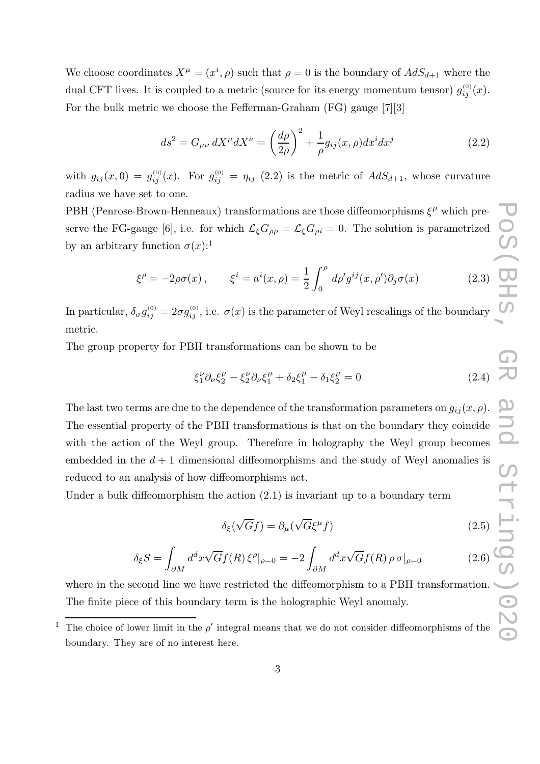We choose coordinates  $X^{\mu} = (x^{i}, \rho)$  such that  $\rho = 0$  is the boundary of  $AdS_{d+1}$  where the dual CFT lives. It is coupled to a metric (source for its energy momentum tensor)  $g_{ij}^{(0)}(x)$ . For the bulk metric we choose the Fefferman-Graham (FG) gauge [7][3]

$$
ds^2 = G_{\mu\nu} dX^{\mu} dX^{\nu} = \left(\frac{d\rho}{2\rho}\right)^2 + \frac{1}{\rho} g_{ij}(x,\rho) dx^i dx^j
$$
\n(2.2)

with  $g_{ij}(x,0) = g_{ij}^{(0)}(x)$ . For  $g_{ij}^{(0)} = \eta_{ij}$  (2.2) is the metric of  $AdS_{d+1}$ , whose curvature radius we have set to one.

PBH (Penrose-Brown-Henneaux) transformations are those diffeomorphisms  $\xi^{\mu}$  which preserve the FG-gauge [6], i.e. for which  $\mathcal{L}_{\xi}G_{\rho\rho} = \mathcal{L}_{\xi}G_{\rho i} = 0$ . The solution is parametrized by an arbitrary function  $\sigma(x)$ :

$$
\xi^{\rho} = -2\rho\sigma(x), \qquad \xi^{i} = a^{i}(x,\rho) = \frac{1}{2} \int_{0}^{\rho} d\rho' g^{ij}(x,\rho') \partial_{j}\sigma(x) \qquad (2.3)
$$

In particular,  $\delta_{\sigma} g_{ij}^{(0)} = 2\sigma g_{ij}^{(0)}$ , i.e.  $\sigma(x)$  is the parameter of Weyl rescalings of the boundary metric.

The group property for PBH transformations can be shown to be

$$
\xi_1^{\nu} \partial_{\nu} \xi_2^{\mu} - \xi_2^{\nu} \partial_{\nu} \xi_1^{\mu} + \delta_2 \xi_1^{\mu} - \delta_1 \xi_2^{\mu} = 0
$$
\n(2.4)

The last two terms are due to the dependence of the transformation parameters on  $g_{ij}(x, \rho)$ . The essential property of the PBH transformations is that on the boundary they coincide with the action of the Weyl group. Therefore in holography the Weyl group becomes embedded in the  $d + 1$  dimensional diffeomorphisms and the study of Weyl anomalies is<br>
reduced to an analysis of how diffeomorphisms act.<br>
Under a bulk diffeomorphism the action (2.1) is invariant up to a boundary term<br> reduced to an analysis of how diffeomorphisms act.

Under a bulk diffeomorphism the action  $(2.1)$  is invariant up to a boundary term

$$
\delta_{\xi}(\sqrt{G}f) = \partial_{\mu}(\sqrt{G}\xi^{\mu}f) \tag{2.5}
$$

$$
\delta_{\xi}S = \int_{\partial M} d^d x \sqrt{G} f(R) \,\xi^{\rho}|_{\rho=0} = -2 \int_{\partial M} d^d x \sqrt{G} f(R) \,\rho \,\sigma|_{\rho=0} \tag{2.6}
$$

where in the second line we have restricted the diffeomorphism to a PBH transformation. The finite piece of this boundary term is the holographic Weyl anomaly.

<sup>&</sup>lt;sup>1</sup> The choice of lower limit in the  $\rho'$  integral means that we do not consider diffeomorphisms of the boundary. They are of no interest here.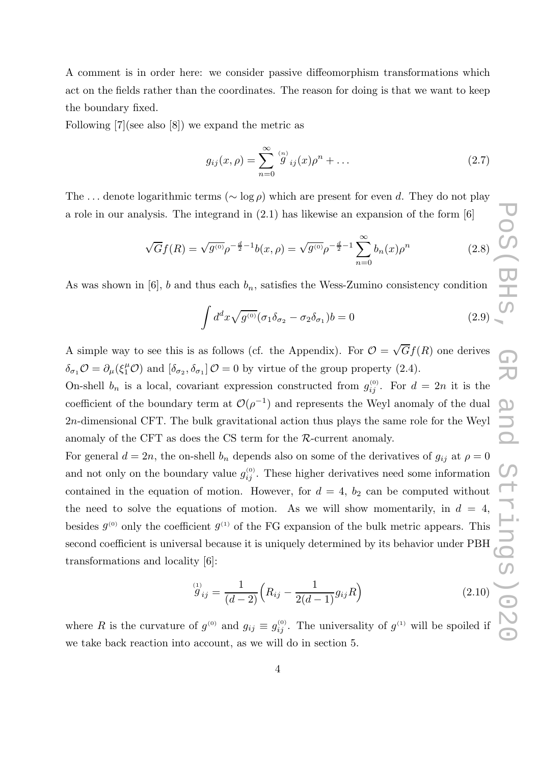A comment is in order here: we consider passive diffeomorphism transformations which act on the fields rather than the coordinates. The reason for doing is that we want to keep the boundary fixed.

Following [7](see also [8]) we expand the metric as

$$
g_{ij}(x,\rho) = \sum_{n=0}^{\infty} \stackrel{(n)}{g}_{ij}(x)\rho^n + \dots \tag{2.7}
$$

The ... denote logarithmic terms ( $\sim$  log  $\rho$ ) which are present for even d. They do not play a role in our analysis. The integrand in (2.1) has likewise an expansion of the form [6]

$$
\sqrt{G}f(R) = \sqrt{g^{(0)}}\rho^{-\frac{d}{2}-1}b(x,\rho) = \sqrt{g^{(0)}}\rho^{-\frac{d}{2}-1}\sum_{n=0}^{\infty}b_n(x)\rho^n
$$
\n(2.8)

As was shown in [6], b and thus each  $b_n$ , satisfies the Wess-Zumino consistency condition

$$
\int d^d x \sqrt{g^{(0)}} (\sigma_1 \delta_{\sigma_2} - \sigma_2 \delta_{\sigma_1}) b = 0
$$
\n(2.9)

A simple way to see this is as follows (cf. the Appendix). For  $\mathcal{O} = \sqrt{G}f(R)$  one derives  $\delta_{\sigma_1}\mathcal{O}=\partial_{\mu}(\xi_1^{\mu}\mathcal{O})$  and  $[\delta_{\sigma_2},\delta_{\sigma_1}]\mathcal{O}=0$  by virtue of the group property (2.4).

On-shell  $b_n$  is a local, covariant expression constructed from  $g_{ij}^{(0)}$ . For  $d = 2n$  it is the coefficient of the boundary term at  $\mathcal{O}(\rho^{-1})$  and represents the Weyl anomaly of the dual 2n-dimensional CFT. The bulk gravitational action thus plays the same role for the Weyl anomaly of the CFT as does the CS term for the R-current anomaly.

For general  $d = 2n$ , the on-shell  $b_n$  depends also on some of the derivatives of  $g_{ij}$  at  $\rho = 0$ and not only on the boundary value  $g_{ij}^{(0)}$ . These higher derivatives need some information contained in the equation of motion. However, for  $d = 4$ ,  $b_2$  can be computed without the need to solve the equations of motion. As we will show momentarily, in  $d = 4$ , besides  $g^{(0)}$  only the coefficient  $g^{(1)}$  of the FG expansion of the bulk metric appears. This second coefficient is universal because it is uniquely determined by its behavior under PBH transformations and locality [6]:

$$
\overset{\text{(1)}}{g}_{ij} = \frac{1}{(d-2)} \Big( R_{ij} - \frac{1}{2(d-1)} g_{ij} R \Big) \tag{2.10}
$$

where R is the curvature of  $g^{(0)}$  and  $g_{ij} \equiv g^{(0)}_{ij}$ . The universality of  $g^{(1)}$  will be spoiled if we take back reaction into account, as we will do in section 5.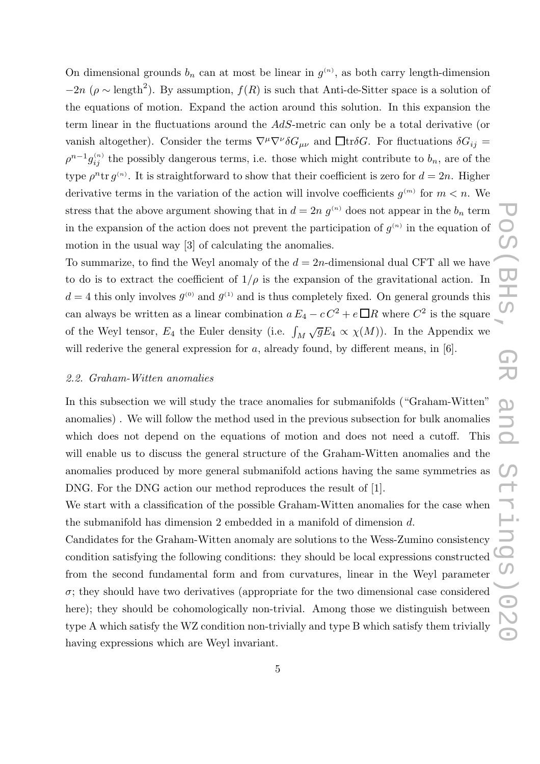On dimensional grounds  $b_n$  can at most be linear in  $g^{(n)}$ , as both carry length-dimension  $-2n$  ( $\rho \sim$  length<sup>2</sup>). By assumption,  $f(R)$  is such that Anti-de-Sitter space is a solution of the equations of motion. Expand the action around this solution. In this expansion the term linear in the fluctuations around the AdS-metric can only be a total derivative (or vanish altogether). Consider the terms  $\nabla^{\mu}\nabla^{\nu}\delta G_{\mu\nu}$  and  $\Box$ tr $\delta G$ . For fluctuations  $\delta G_{ij} =$  $\rho^{n-1} g_{ij}^{(n)}$  the possibly dangerous terms, i.e. those which might contribute to  $b_n$ , are of the type  $\rho^n$ tr  $g^{(n)}$ . It is straightforward to show that their coefficient is zero for  $d = 2n$ . Higher derivative terms in the variation of the action will involve coefficients  $g^{(m)}$  for  $m < n$ . We stress that the above argument showing that in  $d = 2n$  g<sup>(n)</sup> does not appear in the  $b_n$  term in the expansion of the action does not prevent the participation of  $g^{(n)}$  in the equation of motion in the usual way [3] of calculating the anomalies.

To summarize, to find the Weyl anomaly of the  $d = 2n$ -dimensional dual CFT all we have to do is to extract the coefficient of  $1/\rho$  is the expansion of the gravitational action. In  $d = 4$  this only involves  $g^{(0)}$  and  $g^{(1)}$  and is thus completely fixed. On general grounds this can always be written as a linear combination  $a E_4 - c C^2 + e \Box R$  where  $C^2$  is the square of the Weyl tensor,  $E_4$  the Euler density (i.e.  $\int_M \sqrt{g}E_4 \propto \chi(M)$ ). In the Appendix we will rederive the general expression for  $a$ , already found, by different means, in [6].

#### 2.2. Graham-Witten anomalies

In this subsection we will study the trace anomalies for submanifolds ("Graham-Witten" anomalies) . We will follow the method used in the previous subsection for bulk anomalies which does not depend on the equations of motion and does not need a cutoff. This will enable us to discuss the general structure of the Graham-Witten anomalies and the anomalies produced by more general submanifold actions having the same symmetries as DNG. For the DNG action our method reproduces the result of [1].

We start with a classification of the possible Graham-Witten anomalies for the case when the submanifold has dimension 2 embedded in a manifold of dimension d.

Candidates for the Graham-Witten anomaly are solutions to the Wess-Zumino consistency condition satisfying the following conditions: they should be local expressions constructed from the second fundamental form and from curvatures, linear in the Weyl parameter  $\sigma$ ; they should have two derivatives (appropriate for the two dimensional case considered here); they should be cohomologically non-trivial. Among those we distinguish between type A which satisfy the WZ condition non-trivially and type B which satisfy them trivially having expressions which are Weyl invariant.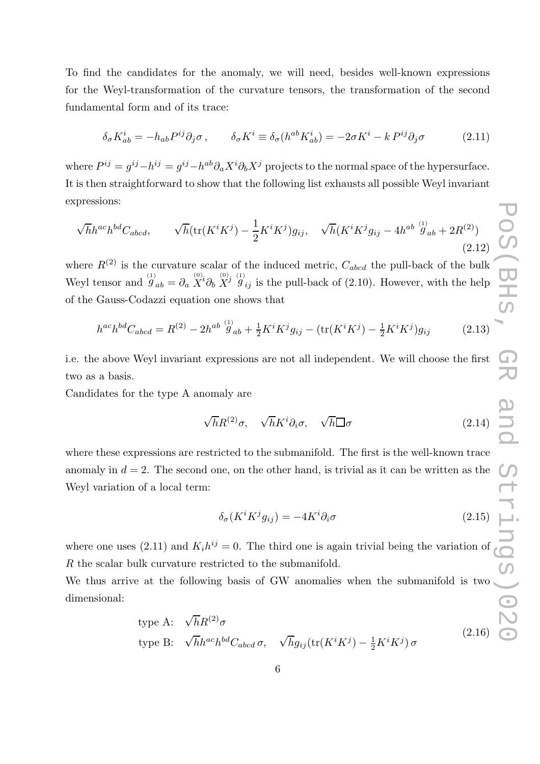To find the candidates for the anomaly, we will need, besides well-known expressions for the Weyl-transformation of the curvature tensors, the transformation of the second fundamental form and of its trace:

$$
\delta_{\sigma} K_{ab}^{i} = -h_{ab} P^{ij} \partial_{j} \sigma , \qquad \delta_{\sigma} K^{i} \equiv \delta_{\sigma} (h^{ab} K_{ab}^{i}) = -2\sigma K^{i} - k P^{ij} \partial_{j} \sigma
$$
 (2.11)

where  $P^{ij} = g^{ij} - h^{ij} = g^{ij} - h^{ab} \partial_a X^i \partial_b X^j$  projects to the normal space of the hypersurface. It is then straightforward to show that the following list exhausts all possible Weyl invariant expressions:

$$
\sqrt{h}h^{ac}h^{bd}C_{abcd}, \qquad \sqrt{h}(\text{tr}(K^{i}K^{j}) - \frac{1}{2}K^{i}K^{j})g_{ij}, \quad \sqrt{h}(K^{i}K^{j}g_{ij} - 4h^{ab}\stackrel{(1)}{g}_{ab} + 2R^{(2)})
$$
\n(2.12)

where  $R^{(2)}$  is the curvature scalar of the induced metric,  $C_{abcd}$  the pull-back of the bulk Weyl tensor and  $\mathcal{G}_{ab}^{(1)} = \partial_a \mathcal{X}^i \partial_b \mathcal{X}^j \mathcal{G}_{ij}^{(1)}$  is the pull-back of (2.10). However, with the help of the Gauss-Codazzi equation one shows that

$$
h^{ac}h^{bd}C_{abcd} = R^{(2)} - 2h^{ab}\stackrel{(1)}{g}_{ab} + \frac{1}{2}K^iK^jg_{ij} - (\text{tr}(K^iK^j) - \frac{1}{2}K^iK^j)g_{ij}
$$
(2.13)

i.e. the above Weyl invariant expressions are not all independent. We will choose the first two as a basis.

Candidates for the type A anomaly are

$$
\sqrt{h}R^{(2)}\sigma, \quad \sqrt{h}K^i\partial_i\sigma, \quad \sqrt{h}\Box\sigma \tag{2.14}
$$

where these expressions are restricted to the submanifold. The first is the well-known trace anomaly in  $d = 2$ . The second one, on the other hand, is trivial as it can be written as the Weyl variation of a local term:

$$
\delta_{\sigma}(K^i K^j g_{ij}) = -4K^i \partial_i \sigma \tag{2.15}
$$

where one uses (2.11) and  $K_i h^{ij} = 0$ . The third one is again trivial being the variation of R the scalar bulk curvature restricted to the submanifold.

We thus arrive at the following basis of GW anomalies when the submanifold is two dimensional:

type A: 
$$
\sqrt{h}R^{(2)}\sigma
$$
  
type B:  $\sqrt{h}h^{ac}h^{bd}C_{abcd}\sigma$ ,  $\sqrt{h}g_{ij}(\text{tr}(K^{i}K^{j}) - \frac{1}{2}K^{i}K^{j})\sigma$  (2.16)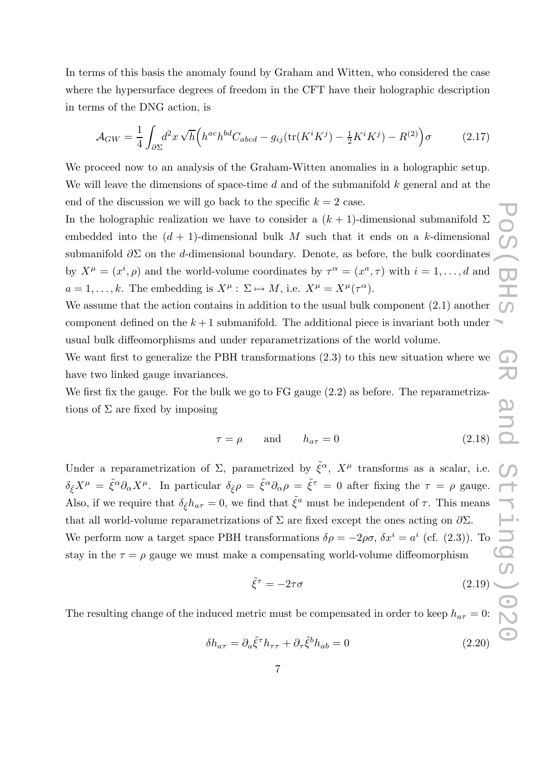In terms of this basis the anomaly found by Graham and Witten, who considered the case where the hypersurface degrees of freedom in the CFT have their holographic description in terms of the DNG action, is

$$
\mathcal{A}_{GW} = \frac{1}{4} \int_{\partial \Sigma} d^2 x \sqrt{h} \Big( h^{ac} h^{bd} C_{abcd} - g_{ij} (\text{tr}(K^i K^j) - \frac{1}{2} K^i K^j) - R^{(2)} \Big) \sigma \tag{2.17}
$$

We proceed now to an analysis of the Graham-Witten anomalies in a holographic setup. We will leave the dimensions of space-time d and of the submanifold  $k$  general and at the end of the discussion we will go back to the specific  $k = 2$  case.

In the holographic realization we have to consider a  $(k + 1)$ -dimensional submanifold  $\Sigma$ embedded into the  $(d + 1)$ -dimensional bulk M such that it ends on a k-dimensional submanifold  $\partial \Sigma$  on the d-dimensional boundary. Denote, as before, the bulk coordinates by  $X^{\mu} = (x^{i}, \rho)$  and the world-volume coordinates by  $\tau^{\alpha} = (x^{a}, \tau)$  with  $i = 1, ..., d$  and  $a = 1, \ldots, k$ . The embedding is  $X^{\mu} : \Sigma \mapsto M$ , i.e.  $X^{\mu} = X^{\mu}(\tau^{\alpha})$ .

We assume that the action contains in addition to the usual bulk component (2.1) another component defined on the  $k+1$  submanifold. The additional piece is invariant both under usual bulk diffeomorphisms and under reparametrizations of the world volume.

We want first to generalize the PBH transformations (2.3) to this new situation where we have two linked gauge invariances.

We first fix the gauge. For the bulk we go to FG gauge  $(2.2)$  as before. The reparametrizations of  $\Sigma$  are fixed by imposing

$$
\tau = \rho \qquad \text{and} \qquad h_{a\tau} = 0 \tag{2.18}
$$

Under a reparametrization of  $\Sigma$ , parametrized by  $\tilde{\xi}^{\alpha}$ ,  $X^{\mu}$  transforms as a scalar, i.e.  $\delta_{\tilde{\xi}}X^{\mu} = \tilde{\xi}^{\alpha}\partial_{\alpha}X^{\mu}$ . In particular  $\delta_{\tilde{\xi}}\rho = \tilde{\xi}^{\alpha}\partial_{\alpha}\rho = \tilde{\xi}^{\tau} = 0$  after fixing the  $\tau = \rho$  gauge. Also, if we require that  $\delta_{\tilde{\xi}}h_{a\tau} = 0$ , we find that  $\tilde{\xi}^a$  must be independent of  $\tau$ . This means that all world-volume reparametrizations of  $\Sigma$  are fixed except the ones acting on  $\partial \Sigma$ . We perform now a target space PBH transformations  $\delta \rho = -2\rho \sigma$ ,  $\delta x^i = a^i$  (cf. (2.3)). To stay in the  $\tau = \rho$  gauge we must make a compensating world-volume diffeomorphism

$$
\tilde{\xi}^{\tau} = -2\tau\sigma \tag{2.19}
$$

The resulting change of the induced metric must be compensated in order to keep  $h_{a\tau} = 0$ :

$$
\delta h_{a\tau} = \partial_a \tilde{\xi}^\tau h_{\tau\tau} + \partial_\tau \tilde{\xi}^b h_{ab} = 0 \tag{2.20}
$$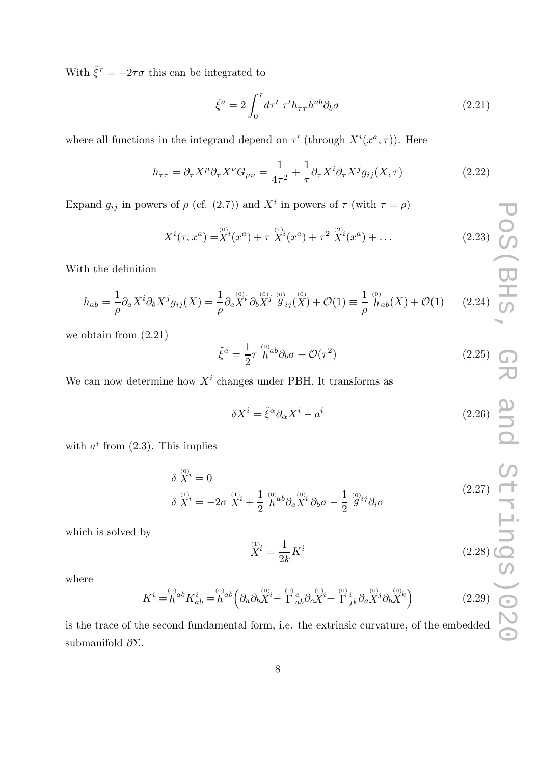With  $\tilde{\xi}^{\tau} = -2\tau\sigma$  this can be integrated to

$$
\tilde{\xi}^a = 2 \int_0^\tau d\tau' \ \tau' h_{\tau\tau} h^{ab} \partial_b \sigma \tag{2.21}
$$

where all functions in the integrand depend on  $\tau'$  (through  $X^i(x^a, \tau)$ ). Here

$$
h_{\tau\tau} = \partial_{\tau} X^{\mu} \partial_{\tau} X^{\nu} G_{\mu\nu} = \frac{1}{4\tau^2} + \frac{1}{\tau} \partial_{\tau} X^i \partial_{\tau} X^j g_{ij}(X, \tau)
$$
(2.22)

Expand  $g_{ij}$  in powers of  $\rho$  (cf. (2.7)) and  $X^i$  in powers of  $\tau$  (with  $\tau = \rho$ )

$$
X^{i}(\tau, x^{a}) = X^{i}(x^{a}) + \tau X^{i}(x^{a}) + \tau^{2} X^{i}(x^{a}) + \dots
$$
 (2.23)

With the definition

$$
h_{ab} = \frac{1}{\rho} \partial_a X^i \partial_b X^j g_{ij}(X) = \frac{1}{\rho} \partial_a X^i \partial_b X^j \stackrel{(0)}{g}_{ij}(X) + \mathcal{O}(1) \equiv \frac{1}{\rho} \stackrel{(0)}{h_{ab}}(X) + \mathcal{O}(1) \tag{2.24}
$$

we obtain from (2.21)

$$
\tilde{\xi}^a = \frac{1}{2}\tau \stackrel{(0)}{h}{}^{ab}\partial_b\sigma + \mathcal{O}(\tau^2)
$$
\n(2.25)

We can now determine how  $X^i$  changes under PBH. It transforms as

$$
\delta X^i = \tilde{\xi}^\alpha \partial_\alpha X^i - a^i \tag{2.26}
$$

with  $a^i$  from  $(2.3)$ . This implies

$$
\delta \stackrel{(0)}{X}^i = 0
$$
\n
$$
\delta \stackrel{(1)}{X}^i = -2\sigma \stackrel{(1)}{X}^i + \frac{1}{2} \stackrel{(0)}{h} a^b \partial_a \stackrel{(0)}{X}^i \partial_b \sigma - \frac{1}{2} \stackrel{(0)}{g}^i j \partial_i \sigma
$$
\n(2.27)

which is solved by

$$
\overset{\text{(1)}}{X}^i = \frac{1}{2k} K^i \tag{2.28}
$$

where

$$
K^{i} = \hat{h}^{(0)} \, K^{i}_{ab} = \hat{h}^{(0)} \left( \partial_{a} \partial_{b} \tilde{X}^{i} - \tilde{\Gamma}^{(0)}_{ab} \partial_{c} \tilde{X}^{i} + \tilde{\Gamma}^{(0)}_{jk} \partial_{a} \tilde{X}^{j} \partial_{b} \tilde{X}^{k} \right) \tag{2.29}
$$

is the trace of the second fundamental form, i.e. the extrinsic curvature, of the embedded submanifold ∂Σ.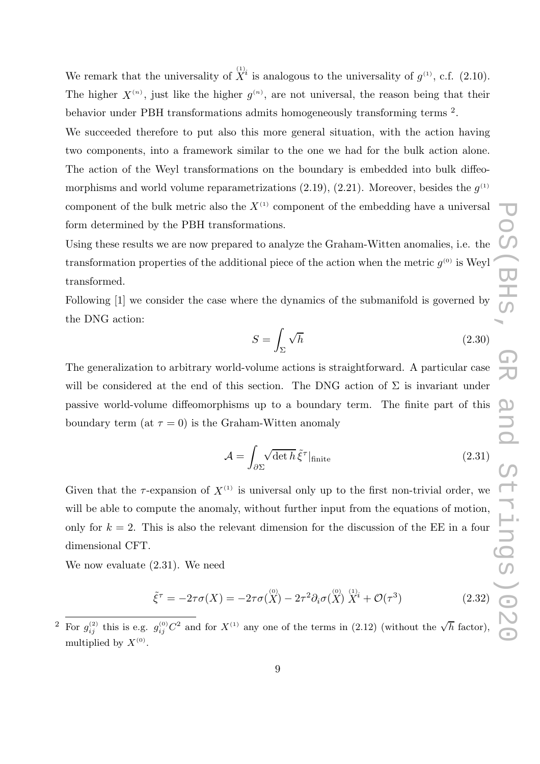We remark that the universality of  $\overline{X}^{i}$  is analogous to the universality of  $g^{(1)}$ , c.f. (2.10). The higher  $X^{(n)}$ , just like the higher  $g^{(n)}$ , are not universal, the reason being that their behavior under PBH transformations admits homogeneously transforming terms<sup>2</sup>.

We succeeded therefore to put also this more general situation, with the action having two components, into a framework similar to the one we had for the bulk action alone. The action of the Weyl transformations on the boundary is embedded into bulk diffeomorphisms and world volume reparametrizations  $(2.19)$ ,  $(2.21)$ . Moreover, besides the  $g^{(1)}$ component of the bulk metric also the  $X^{(1)}$  component of the embedding have a universal form determined by the PBH transformations.

Using these results we are now prepared to analyze the Graham-Witten anomalies, i.e. the transformation properties of the additional piece of the action when the metric  $g^{(0)}$  is Weyl transformed.

Following [1] we consider the case where the dynamics of the submanifold is governed by the DNG action:

$$
S = \int_{\Sigma} \sqrt{h} \tag{2.30}
$$

The generalization to arbitrary world-volume actions is straightforward. A particular case will be considered at the end of this section. The DNG action of  $\Sigma$  is invariant under passive world-volume diffeomorphisms up to a boundary term. The finite part of this boundary term (at  $\tau = 0$ ) is the Graham-Witten anomaly

$$
\mathcal{A} = \int_{\partial \Sigma} \sqrt{\det h} \, \tilde{\xi}^{\tau} |_{\text{finite}} \tag{2.31}
$$

Given that the  $\tau$ -expansion of  $X^{(1)}$  is universal only up to the first non-trivial order, we will be able to compute the anomaly, without further input from the equations of motion, only for  $k = 2$ . This is also the relevant dimension for the discussion of the EE in a four dimensional CFT.

We now evaluate (2.31). We need

$$
\tilde{\xi}^{\tau} = -2\tau\sigma(X) = -2\tau\sigma(X) - 2\tau^2\partial_i\sigma(X) \stackrel{(0)}{X}^{(1)} + \mathcal{O}(\tau^3)
$$
\n(2.32)

<sup>&</sup>lt;sup>2</sup> For  $g_{ij}^{(2)}$  this is e.g.  $g_{ij}^{(0)}C^2$  and for  $X^{(1)}$  any one of the terms in (2.12) (without the  $\sqrt{h}$  factor), multiplied by  $X^{(0)}$ .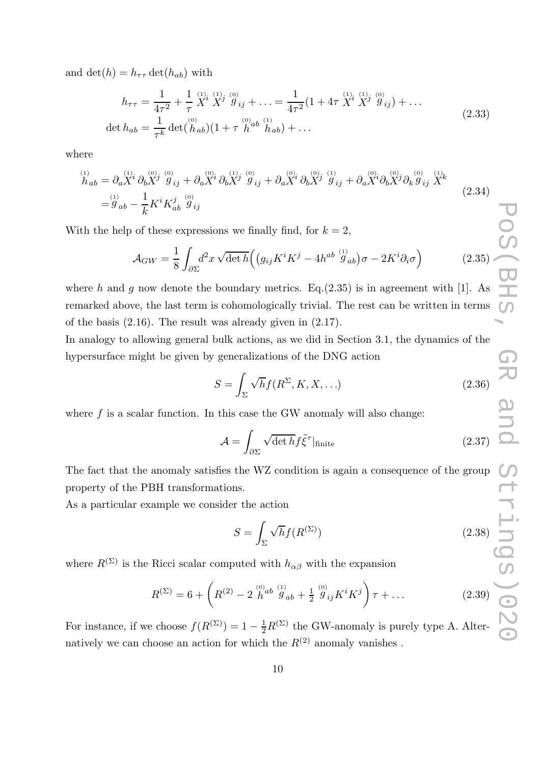and  $\det(h) = h_{\tau\tau} \det(h_{ab})$  with

$$
h_{\tau\tau} = \frac{1}{4\tau^2} + \frac{1}{\tau} \stackrel{(1)}{X}^i \stackrel{(1)}{X}^j \stackrel{(0)}{g}_{ij} + \dots = \frac{1}{4\tau^2} (1 + 4\tau \stackrel{(1)}{X}^i \stackrel{(1)}{X}^j \stackrel{(0)}{g}_{ij}) + \dots
$$
  
det  $h_{ab} = \frac{1}{\tau^k} \det(h_{ab})(1 + \tau \stackrel{(0)}{h^{ab}} h_{ab}) + \dots$  (2.33)

where

$$
\begin{split} \n\stackrel{(1)}{h}_{ab} &= \partial_a X^i \partial_b X^j \stackrel{(0)}{g}_{ij} + \partial_a X^i \partial_b X^j \stackrel{(0)}{g}_{ij} + \partial_a X^i \partial_b X^j \stackrel{(0)}{g}_{ij} + \partial_a X^i \partial_b X^j \stackrel{(1)}{g}_{ij} + \partial_a X^i \partial_b X^j \partial_b X^j \stackrel{(0)}{g}_{ij} \stackrel{(1)}{X}^k\\ &= g_{ab} - \frac{1}{k} K^i K_{ab}^j \stackrel{(0)}{g}_{ij} \n\end{split} \tag{2.34}
$$

With the help of these expressions we finally find, for  $k = 2$ ,

$$
\mathcal{A}_{GW} = \frac{1}{8} \int_{\partial \Sigma} d^2 x \sqrt{\det h} \Big( \big( g_{ij} K^i K^j - 4h^{ab} \stackrel{(1)}{g}_{ab} \big) \sigma - 2K^i \partial_i \sigma \Big) \tag{2.35}
$$

where h and g now denote the boundary metrics. Eq.(2.35) is in agreement with [1]. As remarked above, the last term is cohomologically trivial. The rest can be written in terms of the basis (2.16). The result was already given in (2.17).

In analogy to allowing general bulk actions, as we did in Section 3.1, the dynamics of the hypersurface might be given by generalizations of the DNG action

$$
S = \int_{\Sigma} \sqrt{h} f(R^{\Sigma}, K, X, \ldots) \tag{2.36}
$$

where  $f$  is a scalar function. In this case the GW anomaly will also change:

$$
\mathcal{A} = \int_{\partial \Sigma} \sqrt{\det h} f \tilde{\xi}^{\tau} |_{\text{finite}} \tag{2.37}
$$

The fact that the anomaly satisfies the WZ condition is again a consequence of the group property of the PBH transformations.

As a particular example we consider the action

$$
S = \int_{\Sigma} \sqrt{h} f(R^{(\Sigma)}) \tag{2.38}
$$

where  $R^{(\Sigma)}$  is the Ricci scalar computed with  $h_{\alpha\beta}$  with the expansion

$$
R^{(\Sigma)} = 6 + \left( R^{(2)} - 2 \stackrel{\text{(0)}}{h}^{ab} \stackrel{\text{(1)}}{g}_{ab} + \frac{1}{2} \stackrel{\text{(0)}}{g}_{ij} K^i K^j \right) \tau + \dots \tag{2.39}
$$

For instance, if we choose  $f(R^{(\Sigma)}) = 1 - \frac{1}{2}R^{(\Sigma)}$  the GW-anomaly is purely type A. Alternatively we can choose an action for which the  $R^{(2)}$  anomaly vanishes.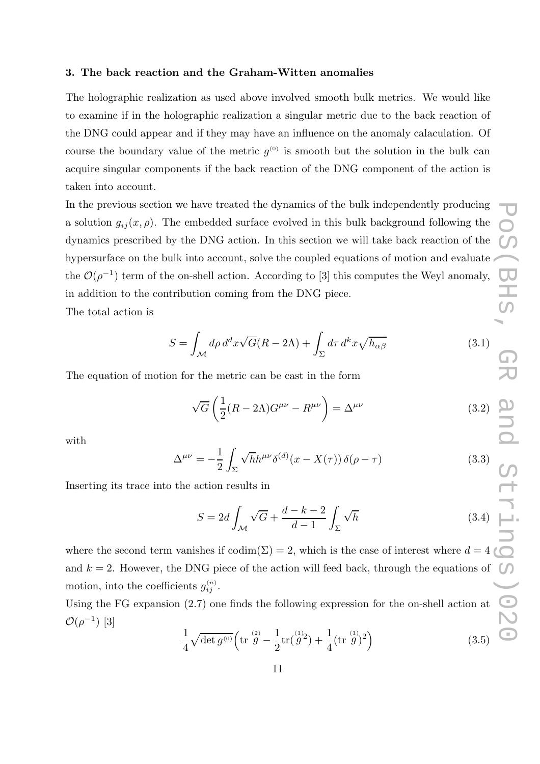#### 3. The back reaction and the Graham-Witten anomalies

The holographic realization as used above involved smooth bulk metrics. We would like to examine if in the holographic realization a singular metric due to the back reaction of the DNG could appear and if they may have an influence on the anomaly calaculation. Of course the boundary value of the metric  $g^{(0)}$  is smooth but the solution in the bulk can acquire singular components if the back reaction of the DNG component of the action is taken into account.

In the previous section we have treated the dynamics of the bulk independently producing a solution  $g_{ij}(x, \rho)$ . The embedded surface evolved in this bulk background following the dynamics prescribed by the DNG action. In this section we will take back reaction of the hypersurface on the bulk into account, solve the coupled equations of motion and evaluate the  $\mathcal{O}(\rho^{-1})$  term of the on-shell action. According to [3] this computes the Weyl anomaly, in addition to the contribution coming from the DNG piece.

The total action is

$$
S = \int_{\mathcal{M}} d\rho \, d^d x \sqrt{G} (R - 2\Lambda) + \int_{\Sigma} d\tau \, d^k x \sqrt{h_{\alpha\beta}} \tag{3.1}
$$

The equation of motion for the metric can be cast in the form

$$
\sqrt{G}\left(\frac{1}{2}(R-2\Lambda)G^{\mu\nu} - R^{\mu\nu}\right) = \Delta^{\mu\nu} \tag{3.2}
$$

with

$$
\Delta^{\mu\nu} = -\frac{1}{2} \int_{\Sigma} \sqrt{h} h^{\mu\nu} \delta^{(d)}(x - X(\tau)) \delta(\rho - \tau)
$$
 (3.3)

Inserting its trace into the action results in

$$
\Delta^{\mu\nu} = -\frac{1}{2} \int_{\Sigma} \sqrt{h} h^{\mu\nu} \delta^{(d)}(x - X(\tau)) \delta(\rho - \tau)
$$
(3.3)  
Inserting its trace into the action results in  

$$
S = 2d \int_{\mathcal{M}} \sqrt{G} + \frac{d - k - 2}{d - 1} \int_{\Sigma} \sqrt{h}
$$
(3.4)  
where the second term vanishes if  $\text{codim}(\Sigma) = 2$ , which is the case of interest where  $d = 4$ 

and  $k = 2$ . However, the DNG piece of the action will feed back, through the equations of motion, into the coefficients  $g_{ij}^{(n)}$ .

Using the FG expansion (2.7) one finds the following expression for the on-shell action at  $\mathcal{O}(\rho^{-1})$  [3]

$$
\frac{1}{4}\sqrt{\det g^{(0)}} \Big( \operatorname{tr} \stackrel{(2)}{g} - \frac{1}{2} \operatorname{tr} \stackrel{(1)}{g}^2) + \frac{1}{4} (\operatorname{tr} \stackrel{(1)}{g})^2 \Big) \tag{3.5}
$$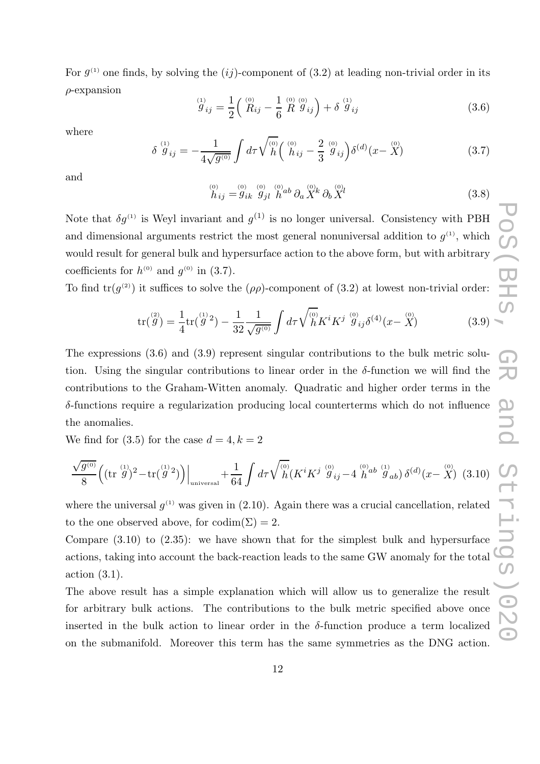For  $g^{(1)}$  one finds, by solving the  $(ij)$ -component of  $(3.2)$  at leading non-trivial order in its  $\rho$ -expansion

$$
\overset{\text{\tiny{(1)}}}{g}_{ij} = \frac{1}{2} \left( \overset{\text{\tiny{(0)}}}{R}_{ij} - \frac{1}{6} \overset{\text{\tiny{(0)}}}{R} \overset{\text{\tiny{(0)}}}{g}_{ij} \right) + \delta \overset{\text{\tiny{(1)}}}{g}_{ij} \tag{3.6}
$$

where

$$
\delta \stackrel{(1)}{g}_{ij} = -\frac{1}{4\sqrt{g^{(0)}}} \int d\tau \sqrt{\stackrel{(0)}{h}} \left(\stackrel{(0)}{h}_{ij} - \frac{2}{3} \stackrel{(0)}{g}_{ij}\right) \delta^{(d)}(x - \stackrel{(0)}{X}) \tag{3.7}
$$

and

$$
\stackrel{(0)}{h}_{ij} = \stackrel{(0)}{g}_{ik} \stackrel{(0)}{g}_{jl} \stackrel{(0)}{h} \stackrel{(0)}{a} \stackrel{(0)}{X} \stackrel{(0)}{b} \stackrel{(0)}{X} \stackrel{(0)}{I} \tag{3.8}
$$

Note that  $\delta g^{(1)}$  is Weyl invariant and  $g^{(1)}$  is no longer universal. Consistency with PBH and dimensional arguments restrict the most general nonuniversal addition to  $g^{(1)}$ , which would result for general bulk and hypersurface action to the above form, but with arbitrary coefficients for  $h^{(0)}$  and  $g^{(0)}$  in  $(3.7)$ .

To find  $tr(g^{(2)})$  it suffices to solve the  $(\rho \rho)$ -component of  $(3.2)$  at lowest non-trivial order:

$$
\text{tr}\left(\overset{2}{g}\right) = \frac{1}{4}\text{tr}\left(\overset{1}{g}^{2}\right) - \frac{1}{32}\frac{1}{\sqrt{g^{(0)}}}\int d\tau \sqrt{\overset{(0)}{h}}K^{i}K^{j}\overset{(0)}{g}_{ij}\delta^{(4)}(x-\overset{(0)}{X})\tag{3.9}
$$

The expressions (3.6) and (3.9) represent singular contributions to the bulk metric solution. Using the singular contributions to linear order in the  $\delta$ -function we will find the contributions to the Graham-Witten anomaly. Quadratic and higher order terms in the δ-functions require a regularization producing local counterterms which do not influence the anomalies.

We find for (3.5) for the case  $d = 4, k = 2$ 

$$
\frac{\sqrt{g^{(0)}}}{8}\Big( (\text{tr}\stackrel{(1)}{g})^2 - \text{tr}\stackrel{(1)}{g}^2) \Big)\Big|_{\text{universal}} + \frac{1}{64} \int d\tau \sqrt{\stackrel{(0)}{h}} (K^i K^j \stackrel{(0)}{g}_{ij} - 4 \stackrel{(0)}{h}^{ab} \stackrel{(1)}{g}_{ab}) \delta^{(d)}(x - \stackrel{(0)}{X}) \tag{3.10}
$$

where the universal  $g^{(1)}$  was given in  $(2.10)$ . Again there was a crucial cancellation, related to the one observed above, for  $\text{codim}(\Sigma) = 2$ .

Compare (3.10) to (2.35): we have shown that for the simplest bulk and hypersurface actions, taking into account the back-reaction leads to the same GW anomaly for the total action (3.1).

The above result has a simple explanation which will allow us to generalize the result for arbitrary bulk actions. The contributions to the bulk metric specified above once inserted in the bulk action to linear order in the  $\delta$ -function produce a term localized on the submanifold. Moreover this term has the same symmetries as the DNG action.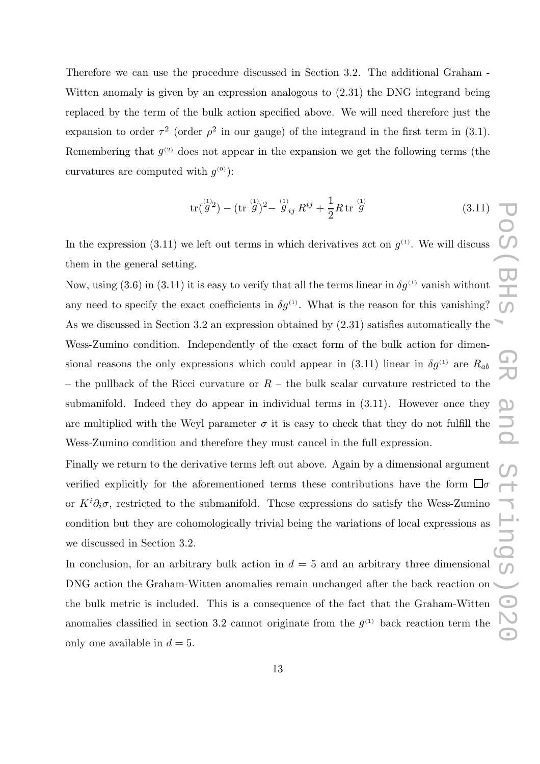Therefore we can use the procedure discussed in Section 3.2. The additional Graham - Witten anomaly is given by an expression analogous to (2.31) the DNG integrand being replaced by the term of the bulk action specified above. We will need therefore just the expansion to order  $\tau^2$  (order  $\rho^2$  in our gauge) of the integrand in the first term in (3.1). Remembering that  $g^{(2)}$  does not appear in the expansion we get the following terms (the curvatures are computed with  $g^{(0)}$ :

$$
\operatorname{tr}(\stackrel{(1)}{g}{}^2) - (\operatorname{tr}\stackrel{(1)}{g})^2 - \stackrel{(1)}{g}{}_{ij}R^{ij} + \frac{1}{2}R \operatorname{tr}\stackrel{(1)}{g} \tag{3.11}
$$

In the expression (3.11) we left out terms in which derivatives act on  $g^{(1)}$ . We will discuss them in the general setting.

Now, using (3.6) in (3.11) it is easy to verify that all the terms linear in  $\delta g^{(1)}$  vanish without any need to specify the exact coefficients in  $\delta g^{(1)}$ . What is the reason for this vanishing? As we discussed in Section 3.2 an expression obtained by (2.31) satisfies automatically the Wess-Zumino condition. Independently of the exact form of the bulk action for dimensional reasons the only expressions which could appear in (3.11) linear in  $\delta g^{(1)}$  are  $R_{ab}$ – the pullback of the Ricci curvature or  $R$  – the bulk scalar curvature restricted to the submanifold. Indeed they do appear in individual terms in (3.11). However once they are multiplied with the Weyl parameter  $\sigma$  it is easy to check that they do not fulfill the Wess-Zumino condition and therefore they must cancel in the full expression.

Finally we return to the derivative terms left out above. Again by a dimensional argument verified explicitly for the aforementioned terms these contributions have the form  $\Box \sigma$ or  $K^{i}\partial_{i}\sigma$ , restricted to the submanifold. These expressions do satisfy the Wess-Zumino condition but they are cohomologically trivial being the variations of local expressions as we discussed in Section 3.2.

In conclusion, for an arbitrary bulk action in  $d = 5$  and an arbitrary three dimensional DNG action the Graham-Witten anomalies remain unchanged after the back reaction on the bulk metric is included. This is a consequence of the fact that the Graham-Witten anomalies classified in section 3.2 cannot originate from the  $g^{(1)}$  back reaction term the only one available in  $d = 5$ .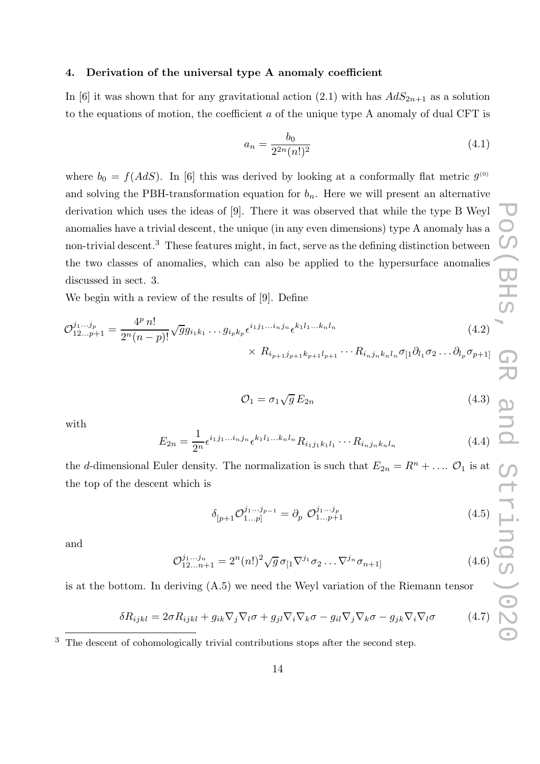### 4. Derivation of the universal type A anomaly coefficient

In [6] it was shown that for any gravitational action (2.1) with has  $AdS_{2n+1}$  as a solution to the equations of motion, the coefficient a of the unique type A anomaly of dual CFT is

$$
a_n = \frac{b_0}{2^{2n}(n!)^2} \tag{4.1}
$$

where  $b_0 = f(AdS)$ . In [6] this was derived by looking at a conformally flat metric  $g^{(0)}$ and solving the PBH-transformation equation for  $b_n$ . Here we will present an alternative derivation which uses the ideas of [9]. There it was observed that while the type B Weyl anomalies have a trivial descent, the unique (in any even dimensions) type A anomaly has a non-trivial descent.<sup>3</sup> These features might, in fact, serve as the defining distinction between the two classes of anomalies, which can also be applied to the hypersurface anomalies discussed in sect. 3.

We begin with a review of the results of [9]. Define

$$
\mathcal{O}_{12...p+1}^{j_1...j_p} = \frac{4^p n!}{2^n (n-p)!} \sqrt{g} g_{i_1 k_1} \dots g_{i_p k_p} \epsilon^{i_1 j_1 \dots i_n j_n} \epsilon^{k_1 l_1 \dots k_n l_n} \times R_{i_{p+1} j_{p+1} k_{p+1} l_{p+1}} \cdots R_{i_n j_n k_n l_n} \sigma_{[1} \partial_{l_1} \sigma_2 \dots \partial_{l_p} \sigma_{p+1]}
$$
\n
$$
(4.2)
$$

$$
\mathcal{O}_1 = \sigma_1 \sqrt{g} E_{2n} \tag{4.3}
$$

with

$$
E_{2n} = \frac{1}{2^n} \epsilon^{i_1 j_1 \dots i_n j_n} \epsilon^{k_1 l_1 \dots k_n l_n} R_{i_1 j_1 k_1 l_1} \cdots R_{i_n j_n k_n l_n}
$$
 (4.4)

the d-dimensional Euler density. The normalization is such that  $E_{2n} = R^n + \dots \mathcal{O}_1$  is at the top of the descent which is

$$
\delta_{[p+1}\mathcal{O}_{1\ldots p]}^{j_1\ldots j_{p-1}} = \partial_p \ \mathcal{O}_{1\ldots p+1}^{j_1\ldots j_p} \tag{4.5}
$$

and

$$
\mathcal{O}_{12...n+1}^{j_1...j_n} = 2^n (n!)^2 \sqrt{g} \,\sigma_{[1} \nabla^{j_1} \sigma_2 \dots \nabla^{j_n} \sigma_{n+1]} \tag{4.6}
$$

is at the bottom. In deriving (A.5) we need the Weyl variation of the Riemann tensor

$$
\delta R_{ijkl} = 2\sigma R_{ijkl} + g_{ik}\nabla_j \nabla_l \sigma + g_{jl}\nabla_i \nabla_k \sigma - g_{il}\nabla_j \nabla_k \sigma - g_{jk}\nabla_i \nabla_l \sigma \tag{4.7}
$$

<sup>&</sup>lt;sup>3</sup> The descent of cohomologically trivial contributions stops after the second step.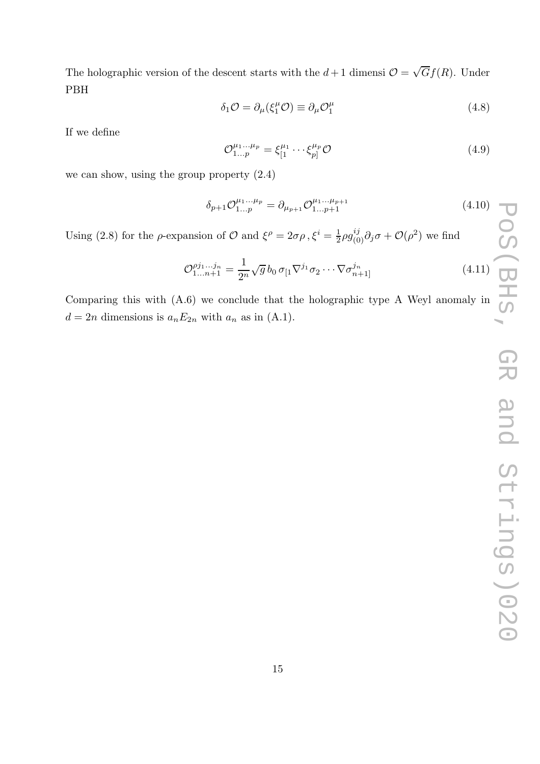The holographic version of the descent starts with the  $d+1$  dimensi  $\mathcal{O} = \sqrt{G}f(R)$ . Under PBH

$$
\delta_1 \mathcal{O} = \partial_\mu (\xi_1^\mu \mathcal{O}) \equiv \partial_\mu \mathcal{O}_1^\mu \tag{4.8}
$$

If we define

$$
\mathcal{O}_{1\ldots p}^{\mu_1\ldots\mu_p} = \xi_{[1}^{\mu_1}\cdots\xi_{p]}^{\mu_p}\mathcal{O}
$$
\n(4.9)

we can show, using the group property (2.4)

$$
\delta_{p+1} \mathcal{O}_{1...p}^{\mu_1... \mu_p} = \partial_{\mu_{p+1}} \mathcal{O}_{1...p+1}^{\mu_1... \mu_{p+1}}
$$
\n(4.10)

Using (2.8) for the  $\rho$ -expansion of  $\mathcal O$  and  $\xi^{\rho} = 2\sigma\rho$ ,  $\xi^i = \frac{1}{2}$  $\frac{1}{2}\rho g_{(0)}^{ij}\partial_j \sigma + \mathcal{O}(\rho^2)$  we find

$$
\mathcal{O}_{1...n+1}^{\rho j_1...j_n} = \frac{1}{2^n} \sqrt{g} \, b_0 \, \sigma_{[1} \nabla^{j_1} \sigma_2 \cdots \nabla \sigma_{n+1]}^{j_n} \tag{4.11}
$$

Comparing this with (A.6) we conclude that the holographic type A Weyl anomaly in  $d = 2n$  dimensions is  $a_n E_{2n}$  with  $a_n$  as in (A.1).